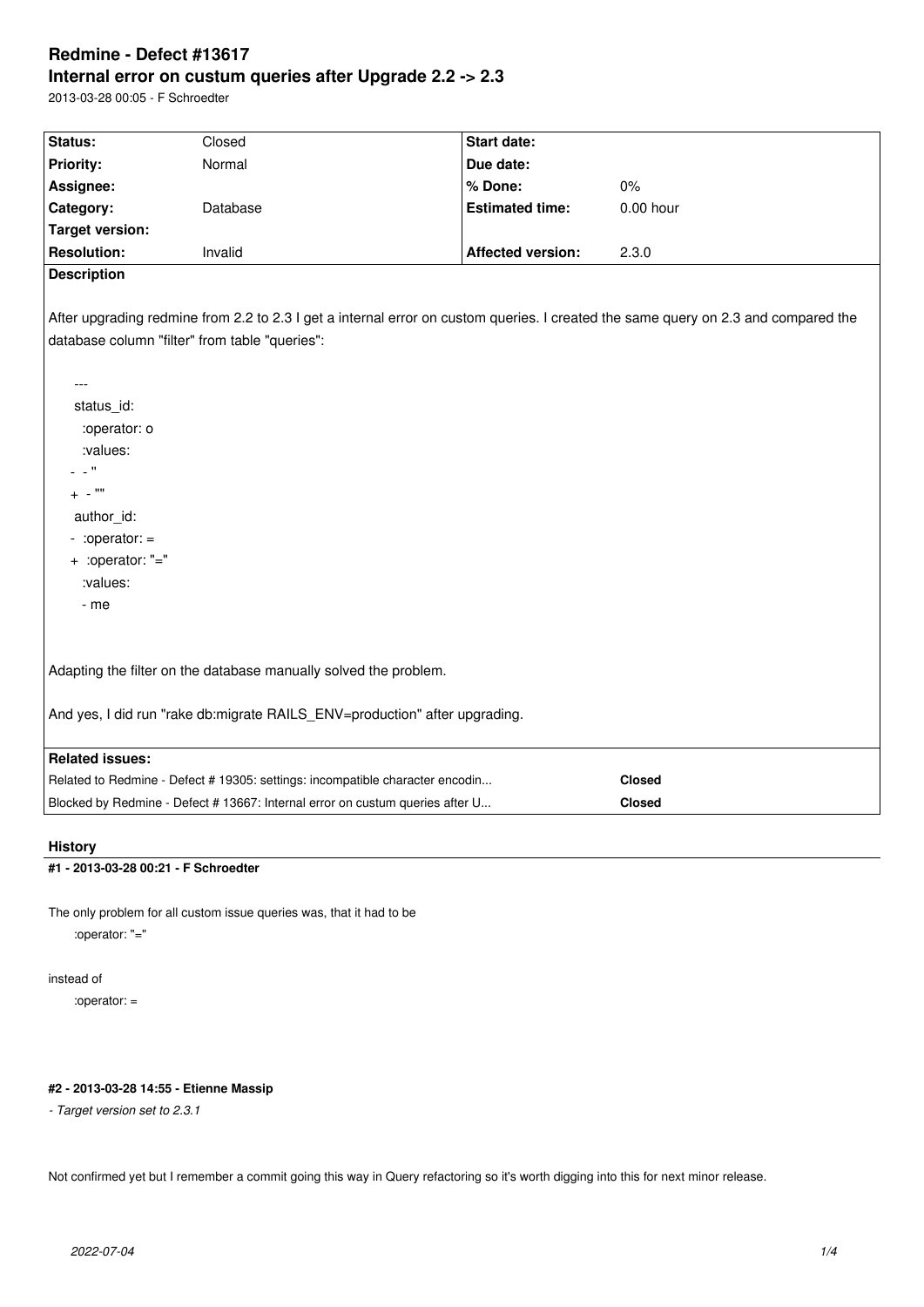# **Redmine - Defect #13617 Internal error on custum queries after Upgrade 2.2 -> 2.3**

2013-03-28 00:05 - F Schroedter

| Status:                                                                                                                            | Closed                                                                        | Start date:              |               |
|------------------------------------------------------------------------------------------------------------------------------------|-------------------------------------------------------------------------------|--------------------------|---------------|
| <b>Priority:</b>                                                                                                                   | Normal                                                                        | Due date:                |               |
| Assignee:                                                                                                                          |                                                                               | % Done:                  | 0%            |
| Category:                                                                                                                          | Database                                                                      | <b>Estimated time:</b>   | $0.00$ hour   |
| <b>Target version:</b>                                                                                                             |                                                                               |                          |               |
| <b>Resolution:</b>                                                                                                                 | Invalid                                                                       | <b>Affected version:</b> | 2.3.0         |
| <b>Description</b>                                                                                                                 |                                                                               |                          |               |
|                                                                                                                                    |                                                                               |                          |               |
| After upgrading redmine from 2.2 to 2.3 I get a internal error on custom queries. I created the same query on 2.3 and compared the |                                                                               |                          |               |
| database column "filter" from table "queries":                                                                                     |                                                                               |                          |               |
|                                                                                                                                    |                                                                               |                          |               |
| ---                                                                                                                                |                                                                               |                          |               |
| status_id:                                                                                                                         |                                                                               |                          |               |
| :operator: o                                                                                                                       |                                                                               |                          |               |
| :values:                                                                                                                           |                                                                               |                          |               |
| $\mathbf{r}$                                                                                                                       |                                                                               |                          |               |
| $+$ - $'''$                                                                                                                        |                                                                               |                          |               |
| author id:                                                                                                                         |                                                                               |                          |               |
| $-$ :operator: $=$                                                                                                                 |                                                                               |                          |               |
| + :operator: "="                                                                                                                   |                                                                               |                          |               |
| :values:                                                                                                                           |                                                                               |                          |               |
| - me                                                                                                                               |                                                                               |                          |               |
|                                                                                                                                    |                                                                               |                          |               |
|                                                                                                                                    |                                                                               |                          |               |
| Adapting the filter on the database manually solved the problem.                                                                   |                                                                               |                          |               |
|                                                                                                                                    |                                                                               |                          |               |
| And yes, I did run "rake db:migrate RAILS ENV=production" after upgrading.                                                         |                                                                               |                          |               |
|                                                                                                                                    |                                                                               |                          |               |
| <b>Related issues:</b>                                                                                                             |                                                                               |                          |               |
|                                                                                                                                    | Related to Redmine - Defect # 19305: settings: incompatible character encodin |                          | <b>Closed</b> |
|                                                                                                                                    | Blocked by Redmine - Defect # 13667: Internal error on custum queries after U |                          | <b>Closed</b> |
|                                                                                                                                    |                                                                               |                          |               |

# **History**

# **#1 - 2013-03-28 00:21 - F Schroedter**

The only problem for all custom issue queries was, that it had to be

:operator: "="

instead of

:operator: =

# **#2 - 2013-03-28 14:55 - Etienne Massip**

*- Target version set to 2.3.1*

Not confirmed yet but I remember a commit going this way in Query refactoring so it's worth digging into this for next minor release.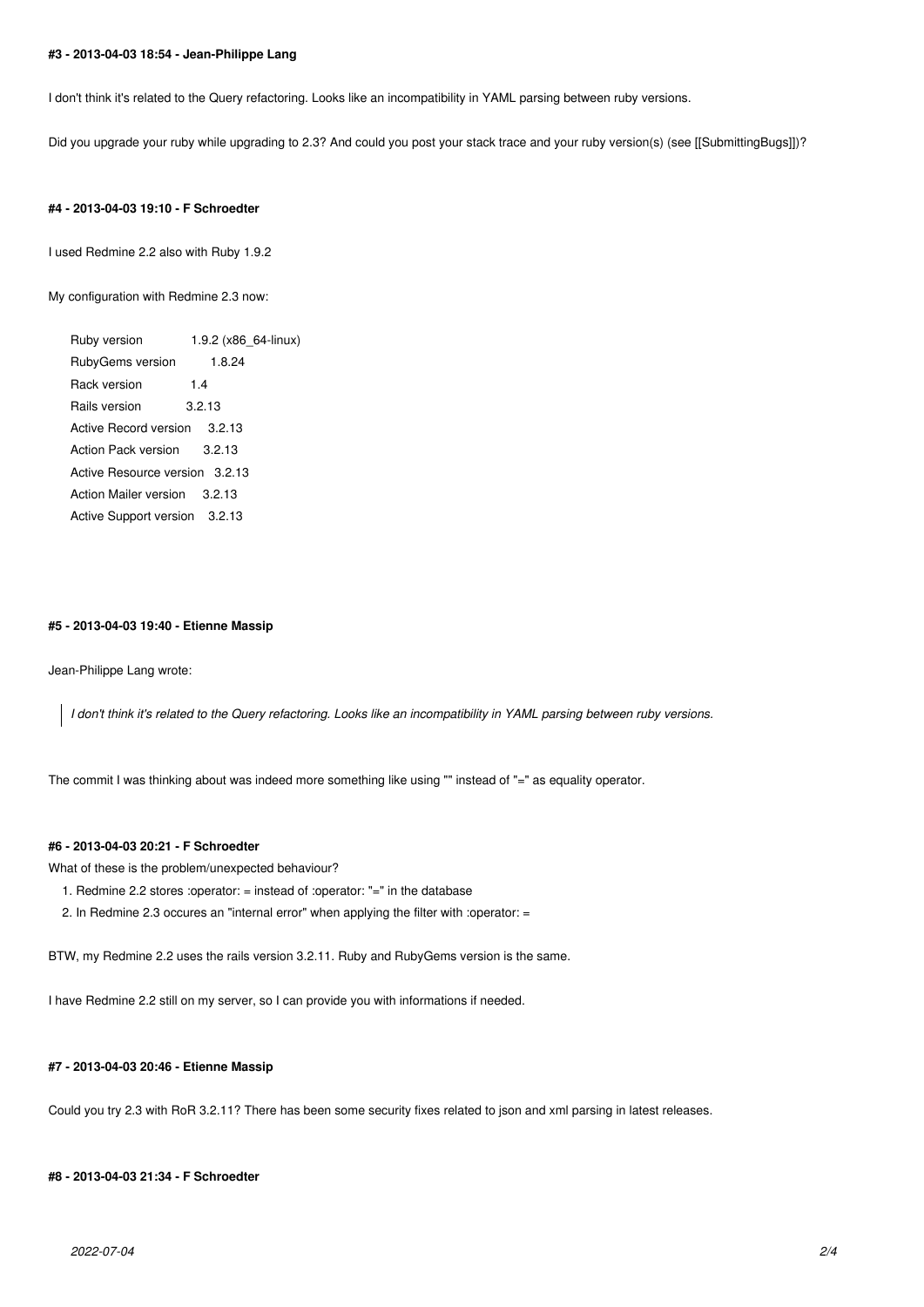#### **#3 - 2013-04-03 18:54 - Jean-Philippe Lang**

I don't think it's related to the Query refactoring. Looks like an incompatibility in YAML parsing between ruby versions.

Did you upgrade your ruby while upgrading to 2.3? And could you post your stack trace and your ruby version(s) (see [[SubmittingBugs]])?

#### **#4 - 2013-04-03 19:10 - F Schroedter**

I used Redmine 2.2 also with Ruby 1.9.2

My configuration with Redmine 2.3 now:

Ruby version 1.9.2 (x86 64-linux) RubyGems version 1.8.24 Rack version 1.4 Rails version 3.2.13 Active Record version 3.2.13 Action Pack version 3.2.13 Active Resource version 3.2.13 Action Mailer version 3.2.13 Active Support version 3.2.13

#### **#5 - 2013-04-03 19:40 - Etienne Massip**

Jean-Philippe Lang wrote:

*I don't think it's related to the Query refactoring. Looks like an incompatibility in YAML parsing between ruby versions.*

The commit I was thinking about was indeed more something like using "" instead of "=" as equality operator.

# **#6 - 2013-04-03 20:21 - F Schroedter**

What of these is the problem/unexpected behaviour?

- 1. Redmine 2.2 stores :operator: = instead of :operator: "=" in the database
- 2. In Redmine 2.3 occures an "internal error" when applying the filter with :operator: =

BTW, my Redmine 2.2 uses the rails version 3.2.11. Ruby and RubyGems version is the same.

I have Redmine 2.2 still on my server, so I can provide you with informations if needed.

#### **#7 - 2013-04-03 20:46 - Etienne Massip**

Could you try 2.3 with RoR 3.2.11? There has been some security fixes related to json and xml parsing in latest releases.

### **#8 - 2013-04-03 21:34 - F Schroedter**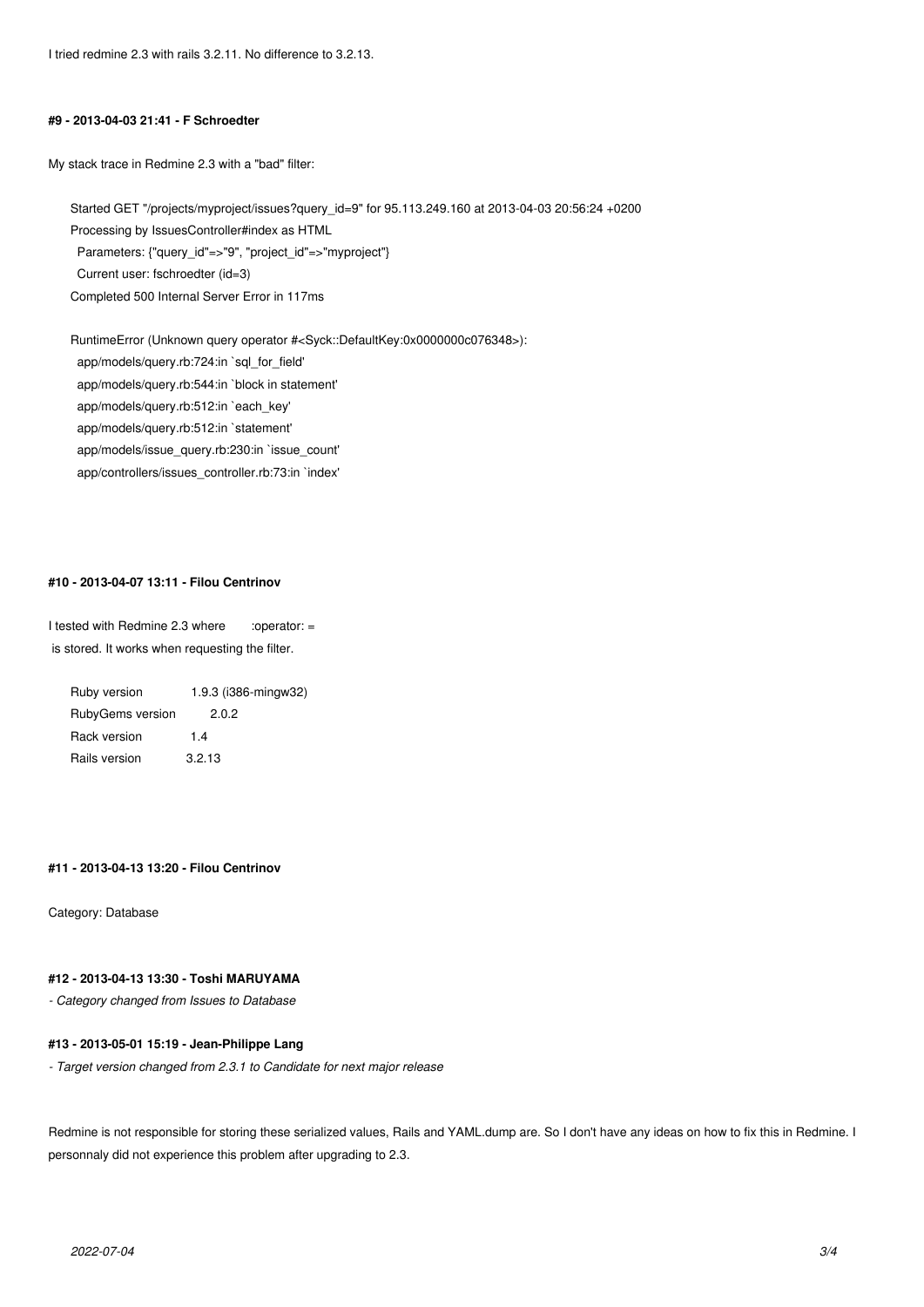#### **#9 - 2013-04-03 21:41 - F Schroedter**

My stack trace in Redmine 2.3 with a "bad" filter:

Started GET "/projects/myproject/issues?query\_id=9" for 95.113.249.160 at 2013-04-03 20:56:24 +0200 Processing by IssuesController#index as HTML Parameters: {"query\_id"=>"9", "project\_id"=>"myproject"} Current user: fschroedter (id=3) Completed 500 Internal Server Error in 117ms

RuntimeError (Unknown query operator #<Syck::DefaultKey:0x0000000c076348>): app/models/query.rb:724:in `sql\_for\_field' app/models/query.rb:544:in `block in statement' app/models/query.rb:512:in `each\_key' app/models/query.rb:512:in `statement' app/models/issue\_query.rb:230:in `issue\_count' app/controllers/issues\_controller.rb:73:in `index'

#### **#10 - 2013-04-07 13:11 - Filou Centrinov**

I tested with Redmine 2.3 where  $\qquad$  :operator: = is stored. It works when requesting the filter.

Ruby version 1.9.3 (i386-mingw32) RubyGems version 2.0.2 Rack version 1.4 Rails version 3.2.13

#### **#11 - 2013-04-13 13:20 - Filou Centrinov**

Category: Database

# **#12 - 2013-04-13 13:30 - Toshi MARUYAMA**

*- Category changed from Issues to Database*

### **#13 - 2013-05-01 15:19 - Jean-Philippe Lang**

*- Target version changed from 2.3.1 to Candidate for next major release*

Redmine is not responsible for storing these serialized values, Rails and YAML.dump are. So I don't have any ideas on how to fix this in Redmine. I personnaly did not experience this problem after upgrading to 2.3.